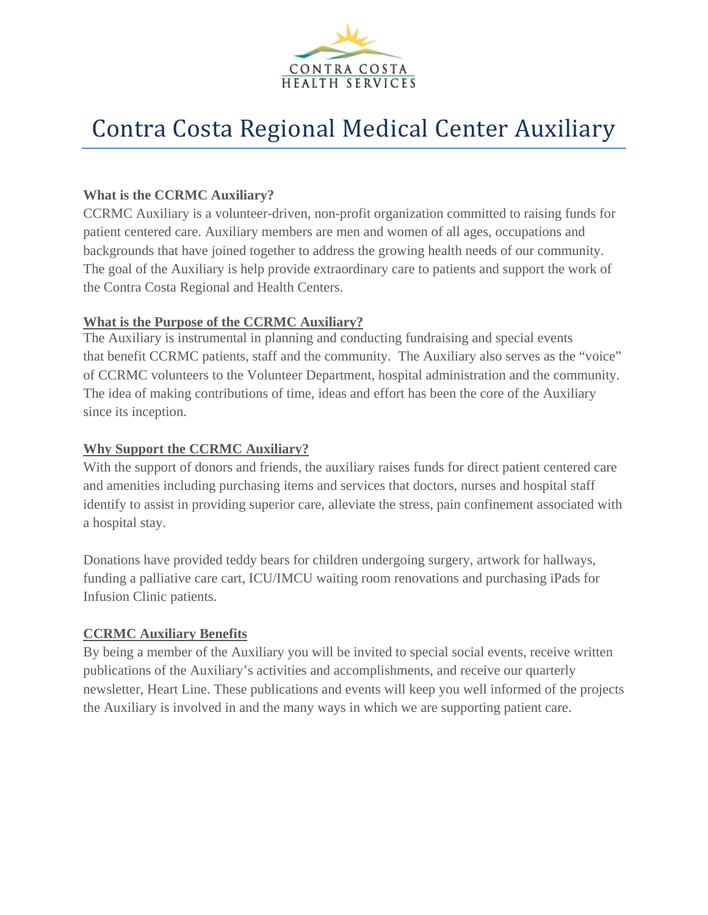

# Contra Costa Regional Medical Center Auxiliary

#### **What is the CCRMC Auxiliary?**

CCRMC Auxiliary is a volunteer-driven, non-profit organization committed to raising funds for patient centered care. Auxiliary members are men and women of all ages, occupations and backgrounds that have joined together to address the growing health needs of our community. The goal of the Auxiliary is help provide extraordinary care to patients and support the work of the Contra Costa Regional and Health Centers.

#### **What is the Purpose of the CCRMC Auxiliary?**

The Auxiliary is instrumental in planning and conducting fundraising and special events that benefit CCRMC patients, staff and the community. The Auxiliary also serves as the "voice" of CCRMC volunteers to the Volunteer Department, hospital administration and the community. The idea of making contributions of time, ideas and effort has been the core of the Auxiliary since its inception.

#### **Why Support the CCRMC Auxiliary?**

With the support of donors and friends, the auxiliary raises funds for direct patient centered care and amenities including purchasing items and services that doctors, nurses and hospital staff identify to assist in providing superior care, alleviate the stress, pain confinement associated with a hospital stay.

Donations have provided teddy bears for children undergoing surgery, artwork for hallways, funding a palliative care cart, ICU/IMCU waiting room renovations and purchasing iPads for Infusion Clinic patients.

#### **CCRMC Auxiliary Benefits**

By being a member of the Auxiliary you will be invited to special social events, receive written publications of the Auxiliary's activities and accomplishments, and receive our quarterly newsletter, Heart Line. These publications and events will keep you well informed of the projects the Auxiliary is involved in and the many ways in which we are supporting patient care.